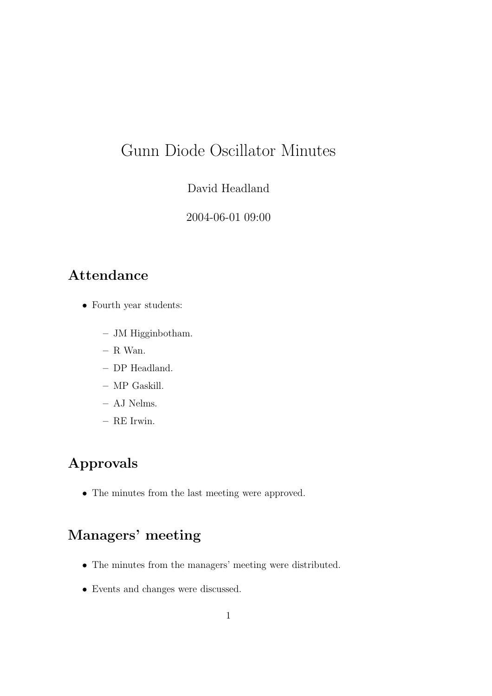# Gunn Diode Oscillator Minutes

#### David Headland

2004-06-01 09:00

#### Attendance

- Fourth year students:
	- JM Higginbotham.
	- R Wan.
	- DP Headland.
	- MP Gaskill.
	- AJ Nelms.
	- RE Irwin.

## Approvals

• The minutes from the last meeting were approved.

# Managers' meeting

- The minutes from the managers' meeting were distributed.
- Events and changes were discussed.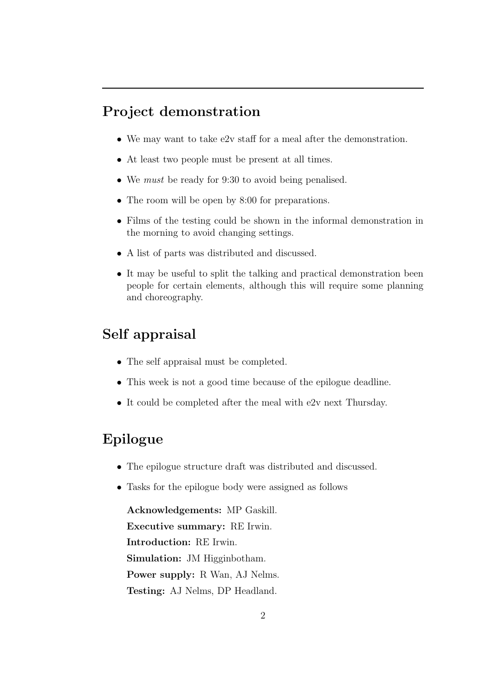#### Project demonstration

- We may want to take e2v staff for a meal after the demonstration.
- At least two people must be present at all times.
- We *must* be ready for 9:30 to avoid being penalised.
- The room will be open by 8:00 for preparations.
- Films of the testing could be shown in the informal demonstration in the morning to avoid changing settings.
- A list of parts was distributed and discussed.
- It may be useful to split the talking and practical demonstration been people for certain elements, although this will require some planning and choreography.

#### Self appraisal

- The self appraisal must be completed.
- This week is not a good time because of the epilogue deadline.
- It could be completed after the meal with e2v next Thursday.

#### Epilogue

- The epilogue structure draft was distributed and discussed.
- Tasks for the epilogue body were assigned as follows

Acknowledgements: MP Gaskill. Executive summary: RE Irwin. Introduction: RE Irwin. Simulation: JM Higginbotham. Power supply: R Wan, AJ Nelms. Testing: AJ Nelms, DP Headland.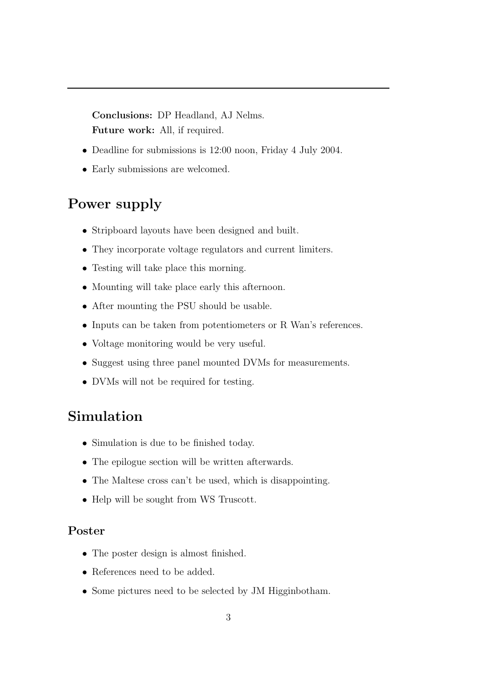Conclusions: DP Headland, AJ Nelms. Future work: All, if required.

- Deadline for submissions is 12:00 noon, Friday 4 July 2004.
- Early submissions are welcomed.

### Power supply

- Stripboard layouts have been designed and built.
- They incorporate voltage regulators and current limiters.
- Testing will take place this morning.
- Mounting will take place early this afternoon.
- After mounting the PSU should be usable.
- Inputs can be taken from potentiometers or R Wan's references.
- Voltage monitoring would be very useful.
- Suggest using three panel mounted DVMs for measurements.
- DVMs will not be required for testing.

#### Simulation

- Simulation is due to be finished today.
- The epilogue section will be written afterwards.
- The Maltese cross can't be used, which is disappointing.
- Help will be sought from WS Truscott.

#### Poster

- The poster design is almost finished.
- References need to be added.
- Some pictures need to be selected by JM Higginbotham.